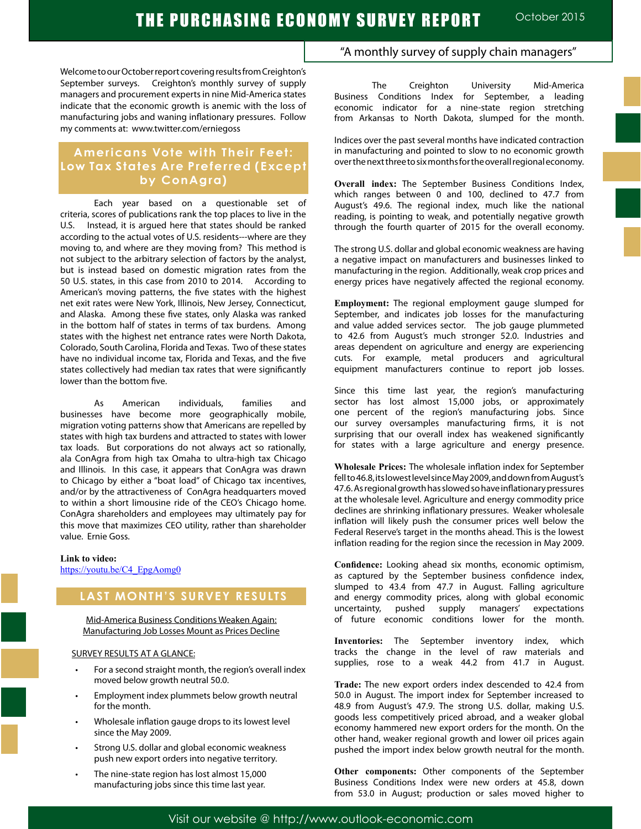Welcome to our October report covering results from Creighton's September surveys. Creighton's monthly survey of supply managers and procurement experts in nine Mid-America states indicate that the economic growth is anemic with the loss of manufacturing jobs and waning inflationary pressures. Follow my comments at: www.twitter.com/erniegoss

# **Americans Vote with Their Feet: Low Tax States Are Preferred (Except by ConAgra)**

Each year based on a questionable set of criteria, scores of publications rank the top places to live in the U.S. Instead, it is argued here that states should be ranked according to the actual votes of U.S. residents---where are they moving to, and where are they moving from? This method is not subject to the arbitrary selection of factors by the analyst, but is instead based on domestic migration rates from the 50 U.S. states, in this case from 2010 to 2014. According to American's moving patterns, the five states with the highest net exit rates were New York, Illinois, New Jersey, Connecticut, and Alaska. Among these five states, only Alaska was ranked in the bottom half of states in terms of tax burdens. Among states with the highest net entrance rates were North Dakota, Colorado, South Carolina, Florida and Texas. Two of these states have no individual income tax, Florida and Texas, and the five states collectively had median tax rates that were significantly lower than the bottom five.

As American individuals, families and businesses have become more geographically mobile, migration voting patterns show that Americans are repelled by states with high tax burdens and attracted to states with lower tax loads. But corporations do not always act so rationally, ala ConAgra from high tax Omaha to ultra-high tax Chicago and Illinois. In this case, it appears that ConAgra was drawn to Chicago by either a "boat load" of Chicago tax incentives, and/or by the attractiveness of ConAgra headquarters moved to within a short limousine ride of the CEO's Chicago home. ConAgra shareholders and employees may ultimately pay for this move that maximizes CEO utility, rather than shareholder value. Ernie Goss.

### **Link to video:**

https://youtu.be/C4\_EpgAomg0

# **LAST MONTH'S SURVEY RESULTS**

Mid-America Business Conditions Weaken Again: Manufacturing Job Losses Mount as Prices Decline

### SURVEY RESULTS AT A GLANCE:

- For a second straight month, the region's overall index moved below growth neutral 50.0.
- Employment index plummets below growth neutral for the month.
- Wholesale inflation gauge drops to its lowest level since the May 2009.
- Strong U.S. dollar and global economic weakness push new export orders into negative territory.
- The nine-state region has lost almost 15,000 manufacturing jobs since this time last year.

## "A monthly survey of supply chain managers"

The Creighton University Mid-America Business Conditions Index for September, a leading economic indicator for a nine-state region stretching from Arkansas to North Dakota, slumped for the month.

Indices over the past several months have indicated contraction in manufacturing and pointed to slow to no economic growth over the next three to six months for the overall regional economy.

**Overall index:** The September Business Conditions Index, which ranges between 0 and 100, declined to 47.7 from August's 49.6. The regional index, much like the national reading, is pointing to weak, and potentially negative growth through the fourth quarter of 2015 for the overall economy.

The strong U.S. dollar and global economic weakness are having a negative impact on manufacturers and businesses linked to manufacturing in the region. Additionally, weak crop prices and energy prices have negatively affected the regional economy.

**Employment:** The regional employment gauge slumped for September, and indicates job losses for the manufacturing and value added services sector. The job gauge plummeted to 42.6 from August's much stronger 52.0. Industries and areas dependent on agriculture and energy are experiencing cuts. For example, metal producers and agricultural equipment manufacturers continue to report job losses.

Since this time last year, the region's manufacturing sector has lost almost 15,000 jobs, or approximately one percent of the region's manufacturing jobs. Since our survey oversamples manufacturing firms, it is not surprising that our overall index has weakened significantly for states with a large agriculture and energy presence.

**Wholesale Prices:** The wholesale inflation index for September fell to 46.8, its lowest level since May 2009, and down from August's 47.6. As regional growth has slowed so have inflationary pressures at the wholesale level. Agriculture and energy commodity price declines are shrinking inflationary pressures. Weaker wholesale inflation will likely push the consumer prices well below the Federal Reserve's target in the months ahead. This is the lowest inflation reading for the region since the recession in May 2009.

**Confidence:** Looking ahead six months, economic optimism, as captured by the September business confidence index, slumped to 43.4 from 47.7 in August. Falling agriculture and energy commodity prices, along with global economic uncertainty, pushed supply managers' expectations of future economic conditions lower for the month.

**Inventories:** The September inventory index, which tracks the change in the level of raw materials and supplies, rose to a weak 44.2 from 41.7 in August.

**Trade:** The new export orders index descended to 42.4 from 50.0 in August. The import index for September increased to 48.9 from August's 47.9. The strong U.S. dollar, making U.S. goods less competitively priced abroad, and a weaker global economy hammered new export orders for the month. On the other hand, weaker regional growth and lower oil prices again pushed the import index below growth neutral for the month.

**Other components:** Other components of the September Business Conditions Index were new orders at 45.8, down from 53.0 in August; production or sales moved higher to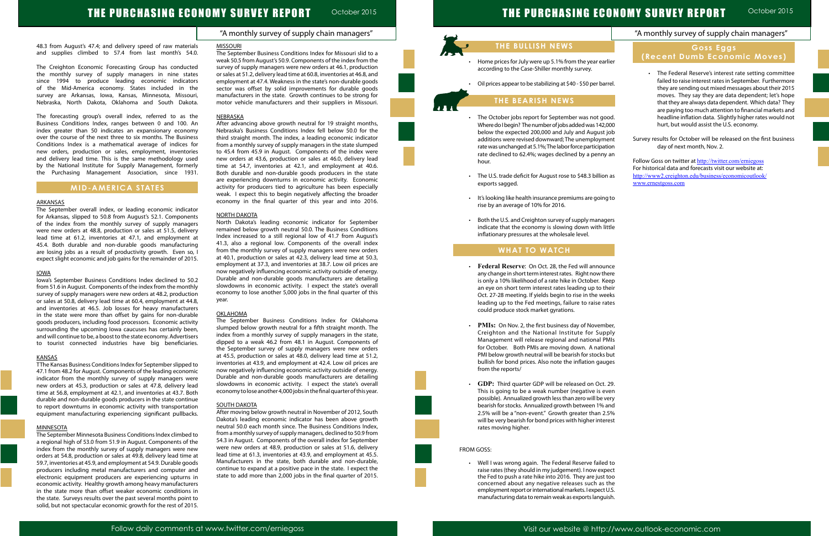# THE PURCHASING ECONOMY SURVEY REPORT

## "A monthly survey of supply chain managers"

October 2015

# THE PURCHASING ECONOMY SURVEY REPORT October 2015

#### 48.3 from August's 47.4; and delivery speed of raw materials and supplies climbed to 57.4 from last month's 54.0.

The Creighton Economic Forecasting Group has conducted the monthly survey of supply managers in nine states since 1994 to produce leading economic indicators of the Mid-America economy. States included in the survey are Arkansas, Iowa, Kansas, Minnesota, Missouri, Nebraska, North Dakota, Oklahoma and South Dakota.

The forecasting group's overall index, referred to as the Business Conditions Index, ranges between 0 and 100. An index greater than 50 indicates an expansionary economy over the course of the next three to six months. The Business Conditions Index is a mathematical average of indices for new orders, production or sales, employment, inventories and delivery lead time. This is the same methodology used by the National Institute for Supply Management, formerly the Purchasing Management Association, since 1931.

## **MID-AMERICA STATES**

#### **ARKANSAS**

The September overall index, or leading economic indicator for Arkansas, slipped to 50.8 from August's 52.1. Components of the index from the monthly survey of supply managers were new orders at 48.8, production or sales at 51.5, delivery lead time at 61.2, inventories at 47.1, and employment at 45.4. Both durable and non-durable goods manufacturing are losing jobs as a result of productivity growth. Even so, I expect slight economic and job gains for the remainder of 2015.

#### IOWA

Iowa's September Business Conditions Index declined to 50.2 from 51.6 in August. Components of the index from the monthly survey of supply managers were new orders at 48.2, production or sales at 50.8, delivery lead time at 60.4, employment at 44.8, and inventories at 46.5. Job losses for heavy manufacturers in the state were more than offset by gains for non-durable goods producers, including food processors. Economic activity surrounding the upcoming Iowa caucuses has certainly been, and will continue to be, a boost to the state economy. Advertisers to tourist connected industries have big beneficiaries.

#### **KANSAS**

TThe Kansas Business Conditions Index for September slipped to 47.1 from 48.2 for August. Components of the leading economic indicator from the monthly survey of supply managers were new orders at 45.3, production or sales at 47.8, delivery lead time at 56.8, employment at 42.1, and inventories at 43.7. Both durable and non-durable goods producers in the state continue to report downturns in economic activity with transportation equipment manufacturing experiencing significant pullbacks.

#### **MINNESOTA**

The September Minnesota Business Conditions Index climbed to a regional high of 53.0 from 51.9 in August. Components of the index from the monthly survey of supply managers were new orders at 54.8, production or sales at 49.8, delivery lead time at 59.7, inventories at 45.9, and employment at 54.9. Durable goods producers including metal manufacturers and computer and electronic equipment producers are experiencing upturns in economic activity. Healthy growth among heavy manufacturers in the state more than offset weaker economic conditions in the state. Surveys results over the past several months point to solid, but not spectacular economic growth for the rest of 2015.

#### MISSOURI

The September Business Conditions Index for Missouri slid to a weak 50.5 from August's 50.9. Components of the index from the survey of supply managers were new orders at 46.1, production or sales at 51.2, delivery lead time at 60.8, inventories at 46.8, and employment at 47.4. Weakness in the state's non-durable goods sector was offset by solid improvements for durable goods manufacturers in the state. Growth continues to be strong for motor vehicle manufacturers and their suppliers in Missouri.

- The October jobs report for September was not go Where do I begin? The number of jobs added was 142,000 below the expected 200,000 and July and August additions were revised downward; The unemployme rate was unchanged at 5.1%; The labor force participati rate declined to 62.4%; wages declined by a penny hour.
- The U.S. trade deficit for August rose to \$48.3 billion exports sagged.
- It's looking like health insurance premiums are going rise by an average of 10% for 2016.
- Both the U.S. and Creighton survey of supply manag indicate that the economy is slowing down with lit inflationary pressures at the wholesale level.

### NEBRASKA

- **Federal Reserve: On Oct. 28, the Fed will announce** any change in short term interest rates. Right now the is only a 10% likelihood of a rate hike in October. Ke an eye on short term interest rates leading up to th Oct. 27-28 meeting. If yields begin to rise in the wee leading up to the Fed meetings, failure to raise rat could produce stock market gyrations.
- PMIs: On Nov. 2, the first business day of Novemb Creighton and the National Institute for Supp Management will release regional and national PI for October. Both PMIs are moving down. A nation PMI below growth neutral will be bearish for stocks bullish for bond prices. Also note the inflation gauge from the reports/
- GDP: Third quarter GDP will be released on Oct. This is going to be a weak number (negative is ev possible). Annualized growth less than zero will be ve bearish for stocks. Annualized growth between 1% a 2.5% will be a "non-event." Growth greater than 2. will be very bearish for bond prices with higher inter rates moving higher.

After advancing above growth neutral for 19 straight months, Nebraska's Business Conditions Index fell below 50.0 for the third straight month. The index, a leading economic indicator from a monthly survey of supply managers in the state slumped to 45.4 from 45.9 in August. Components of the index were new orders at 43.6, production or sales at 46.0, delivery lead time at 54.7, inventories at 42.1, and employment at 40.6. Both durable and non-durable goods producers in the state are experiencing downturns in economic activity. Economic activity for producers tied to agriculture has been especially weak. I expect this to begin negatively affecting the broader economy in the final quarter of this year and into 2016.

#### NORTH DAKOTA

|              | "A monthly survey of supply chain managers"                                                                                                                               |
|--------------|---------------------------------------------------------------------------------------------------------------------------------------------------------------------------|
|              | Goss Eggs                                                                                                                                                                 |
| lier         | (Recent Dumb Economic Moves)                                                                                                                                              |
| rrel.        | The Federal Reserve's interest rate setting committee<br>failed to raise interest rates in September. Furthermore<br>they are sending out mixed messages about their 2015 |
|              | moves. They say they are data dependent; let's hope                                                                                                                       |
|              | that they are always data dependent. Which data? They<br>are paying too much attention to financial markets and                                                           |
| юd.<br>000   | headline inflation data. Slightly higher rates would not<br>hurt, but would assist the U.S. economy.                                                                      |
| job<br>ent   | Survey results for October will be released on the first business                                                                                                         |
| ion:         | day of next month, Nov. 2.                                                                                                                                                |
| ' an         | Follow Goss on twitter at http://twitter.com/erniegoss<br>For historical data and forecasts visit our website at:                                                         |
| as ו         | http://www2.creighton.edu/business/economicoutlook/<br>www.ernestgoss.com                                                                                                 |
| g to         |                                                                                                                                                                           |
|              |                                                                                                                                                                           |
| ers          |                                                                                                                                                                           |
| ttle         |                                                                                                                                                                           |
|              |                                                                                                                                                                           |
|              |                                                                                                                                                                           |
| nce<br>ere   |                                                                                                                                                                           |
| еер<br>าeir  |                                                                                                                                                                           |
| eks<br>ıtes  |                                                                                                                                                                           |
|              |                                                                                                                                                                           |
| ber,         |                                                                                                                                                                           |
| ply<br>MIs   |                                                                                                                                                                           |
| nal          |                                                                                                                                                                           |
| but<br>ges   |                                                                                                                                                                           |
|              |                                                                                                                                                                           |
| 29.          |                                                                                                                                                                           |
| ven          |                                                                                                                                                                           |
| ery<br>and   |                                                                                                                                                                           |
| .5%          |                                                                                                                                                                           |
| rest         |                                                                                                                                                                           |
|              |                                                                                                                                                                           |
|              |                                                                                                                                                                           |
| d to         |                                                                                                                                                                           |
| ect<br>too   |                                                                                                                                                                           |
| the          |                                                                                                                                                                           |
| U.S.<br>ish. |                                                                                                                                                                           |
|              |                                                                                                                                                                           |

North Dakota's leading economic indicator for September remained below growth neutral 50.0. The Business Conditions Index increased to a still regional low of 41.7 from August's 41.3, also a regional low. Components of the overall index from the monthly survey of supply managers were new orders at 40.1, production or sales at 42.3, delivery lead time at 50.3, employment at 37.3, and inventories at 38.7. Low oil prices are now negatively influencing economic activity outside of energy. Durable and non-durable goods manufacturers are detailing slowdowns in economic activity. I expect the state's overall economy to lose another 5,000 jobs in the final quarter of this year.

### OKLAHOMA

The September Business Conditions Index for Oklahoma slumped below growth neutral for a fifth straight month. The index from a monthly survey of supply managers in the state, dipped to a weak 46.2 from 48.1 in August. Components of the September survey of supply managers were new orders at 45.5, production or sales at 48.0, delivery lead time at 51.2, inventories at 43.9, and employment at 42.4. Low oil prices are now negatively influencing economic activity outside of energy. Durable and non-durable goods manufacturers are detailing slowdowns in economic activity. I expect the state's overall economy to lose another 4,000 jobs in the final quarter of this year.

#### SOUTH DAKOTA

After moving below growth neutral in November of 2012, South Dakota's leading economic indicator has been above growth neutral 50.0 each month since. The Business Conditions Index, from a monthly survey of supply managers, declined to 50.9 from 54.3 in August. Components of the overall index for September were new orders at 48.9, production or sales at 51.6, delivery lead time at 61.3, inventories at 43.9, and employment at 45.5. Manufacturers in the state, both durable and non-durable, continue to expand at a positive pace in the state. I expect the state to add more than 2,000 jobs in the final quarter of 2015.

# **THE BULLISH NEWS**

- Home prices for July were up 5.1% from the year earl according to the Case-Shiller monthly survey.
- Oil prices appear to be stabilizing at \$40 \$50 per bar

## **THE BEARISH NEWS**

## **WHAT TO WATCH**

#### FROM GOSS:

L

Ĩ

• Well I was wrong again. The Federal Reserve failed raise rates (they should in my judgement). I now expect the Fed to push a rate hike into 2016. They are just concerned about any negative releases such as employment report or international markets. I expect manufacturing data to remain weak as exports langui